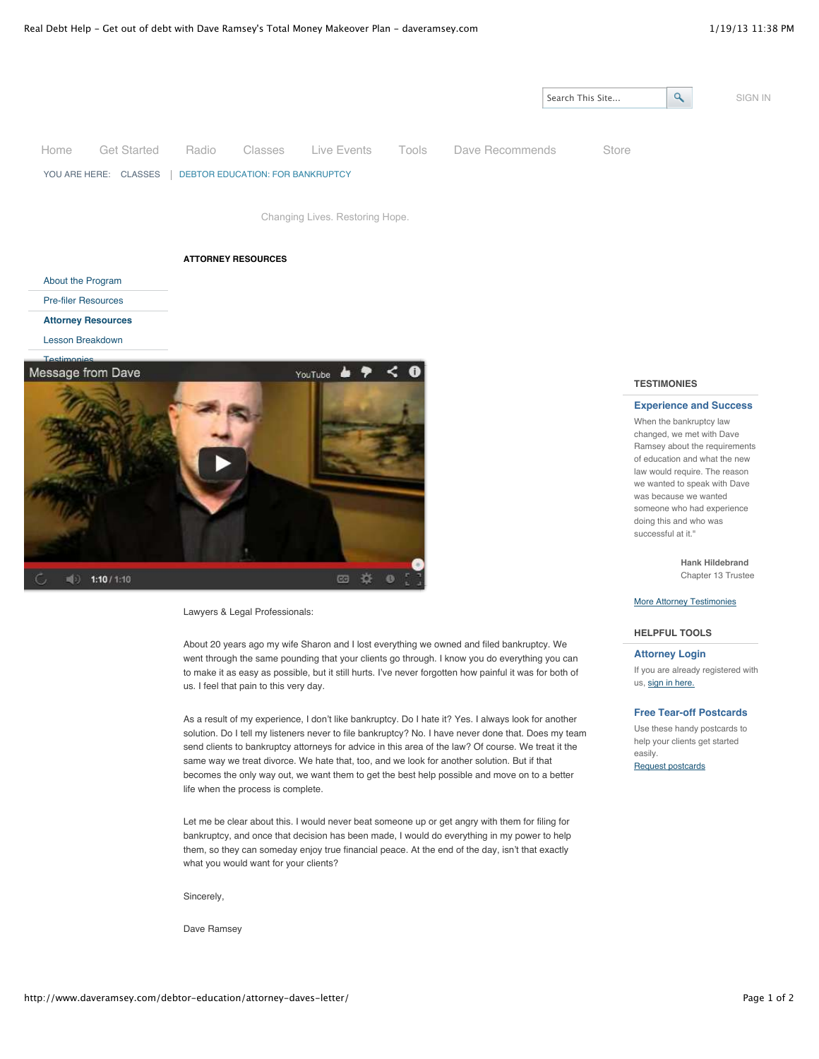

law would require. The reason we wanted to speak with Dave was because we wanted someone who had experience doing this and who was successful at it."

> **Hank Hildebrand** Chapter 13 Trustee

#### **[More Attorney Testimonies](http://www.daveramsey.com/debtor-education/testimonies-attorney)**

#### **HELPFUL TOOLS**

# **Attorney Login**

If you are already registered with us, [sign in here.](http://www.daveramsey.com/bankruptcy/index.cfm?event=displayLogin)

## **Free Tear-off Postcards**

Use these handy postcards to help your clients get started easily.

[Request postcards](mailto:debtoreducation@daveramsey.com?subject=Re-order%20Debtor%20Education%20Postcards)

Lawyers & Legal Professionals:

 $(1)$  1:10 / 1:10

About 20 years ago my wife Sharon and I lost everything we owned and filed bankruptcy. We went through the same pounding that your clients go through. I know you do everything you can to make it as easy as possible, but it still hurts. I've never forgotten how painful it was for both of us. I feel that pain to this very day.

As a result of my experience, I don't like bankruptcy. Do I hate it? Yes. I always look for another solution. Do I tell my listeners never to file bankruptcy? No. I have never done that. Does my team send clients to bankruptcy attorneys for advice in this area of the law? Of course. We treat it the same way we treat divorce. We hate that, too, and we look for another solution. But if that becomes the only way out, we want them to get the best help possible and move on to a better life when the process is complete.

Let me be clear about this. I would never beat someone up or get angry with them for filing for bankruptcy, and once that decision has been made, I would do everything in my power to help them, so they can someday enjoy true financial peace. At the end of the day, isn't that exactly what you would want for your clients?

Sincerely,

Dave Ramsey